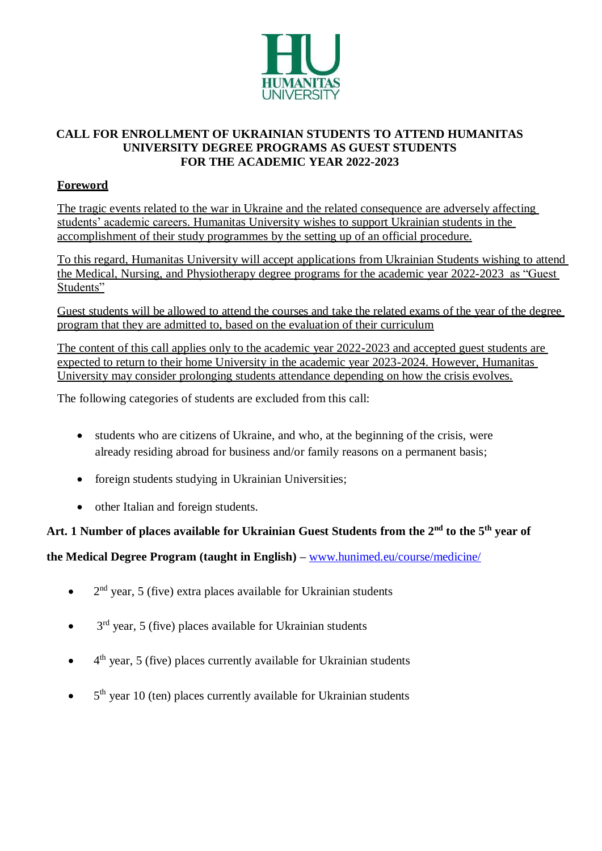

### **CALL FOR ENROLLMENT OF UKRAINIAN STUDENTS TO ATTEND HUMANITAS UNIVERSITY DEGREE PROGRAMS AS GUEST STUDENTS FOR THE ACADEMIC YEAR 2022-2023**

### **Foreword**

The tragic events related to the war in Ukraine and the related consequence are adversely affecting students' academic careers. Humanitas University wishes to support Ukrainian students in the accomplishment of their study programmes by the setting up of an official procedure.

To this regard, Humanitas University will accept applications from Ukrainian Students wishing to attend the Medical, Nursing, and Physiotherapy degree programs for the academic year 2022-2023 as "Guest Students"

Guest students will be allowed to attend the courses and take the related exams of the year of the degree program that they are admitted to, based on the evaluation of their curriculum

The content of this call applies only to the academic year 2022-2023 and accepted guest students are expected to return to their home University in the academic year 2023-2024. However, Humanitas University may consider prolonging students attendance depending on how the crisis evolves.

The following categories of students are excluded from this call:

- students who are citizens of Ukraine, and who, at the beginning of the crisis, were already residing abroad for business and/or family reasons on a permanent basis;
- foreign students studying in Ukrainian Universities;
- other Italian and foreign students.

### **Art. 1 Number of places available for Ukrainian Guest Students from the 2nd to the 5th year of**

**the Medical Degree Program (taught in English) –** [www.hunimed.eu/course/medicine/](http://www.hunimed.eu/course/medicine/)

- $\bullet$  2<sup>nd</sup> year, 5 (five) extra places available for Ukrainian students
- $\bullet$  3<sup>rd</sup> year, 5 (five) places available for Ukrainian students
- 4<sup>th</sup> year, 5 (five) places currently available for Ukrainian students
- $\bullet$  5<sup>th</sup> year 10 (ten) places currently available for Ukrainian students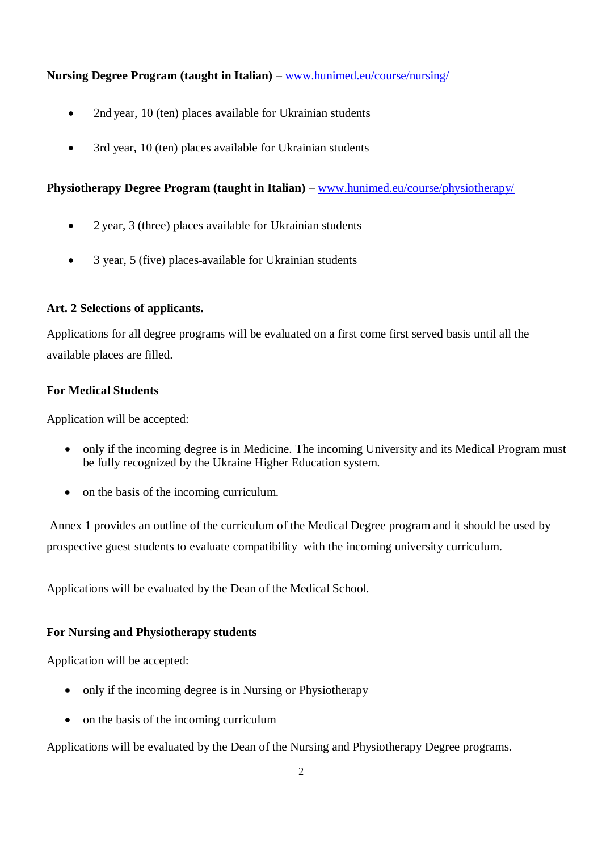#### **Nursing Degree Program (taught in Italian) –** www.hunimed.eu/course/nursing/

- 2nd year, 10 (ten) places available for Ukrainian students
- 3rd year, 10 (ten) places available for Ukrainian students

#### **Physiotherapy Degree Program (taught in Italian) –** [www.hunimed.eu/course/physiotherapy/](http://www.hunimed.eu/course/physiotherapy/)

- 2 year, 3 (three) places available for Ukrainian students
- 3 year, 5 (five) places-available for Ukrainian students

#### **Art. 2 Selections of applicants.**

Applications for all degree programs will be evaluated on a first come first served basis until all the available places are filled.

#### **For Medical Students**

Application will be accepted:

- only if the incoming degree is in Medicine. The incoming University and its Medical Program must be fully recognized by the Ukraine Higher Education system.
- on the basis of the incoming curriculum.

Annex 1 provides an outline of the curriculum of the Medical Degree program and it should be used by prospective guest students to evaluate compatibility with the incoming university curriculum.

Applications will be evaluated by the Dean of the Medical School.

#### **For Nursing and Physiotherapy students**

Application will be accepted:

- only if the incoming degree is in Nursing or Physiotherapy
- on the basis of the incoming curriculum

Applications will be evaluated by the Dean of the Nursing and Physiotherapy Degree programs.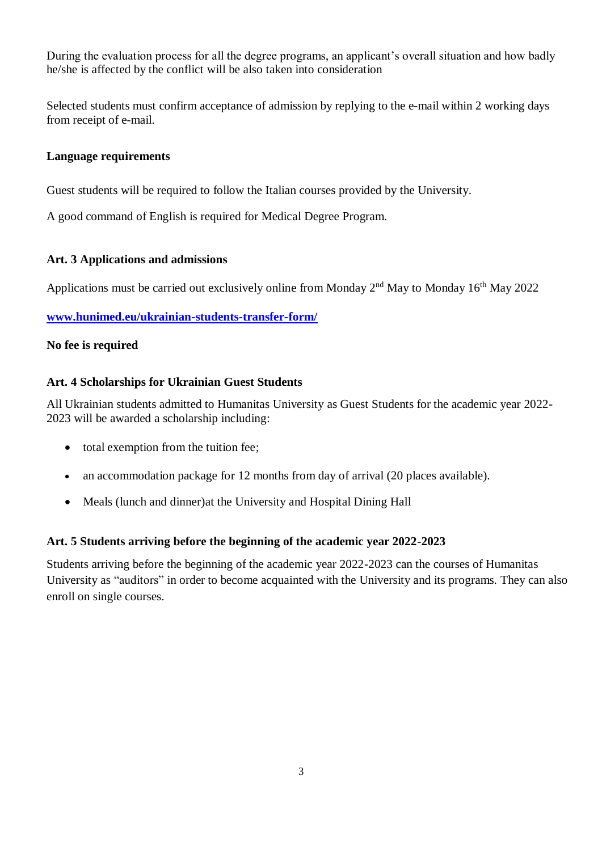During the evaluation process for all the degree programs, an applicant's overall situation and how badly he/she is affected by the conflict will be also taken into consideration

Selected students must confirm acceptance of admission by replying to the e-mail within 2 working days from receipt of e-mail.

#### **Language requirements**

Guest students will be required to follow the Italian courses provided by the University.

A good command of English is required for Medical Degree Program.

#### **Art. 3 Applications and admissions**

Applications must be carried out exclusively online from Monday  $2<sup>nd</sup>$  May to Monday 16<sup>th</sup> May 2022

#### **[www.hunimed.eu/ukrainian-students-transfer-form/](http://www.hunimed.eu/ukrainian-students-transfer-form/)**

#### **No fee is required**

#### **Art. 4 Scholarships for Ukrainian Guest Students**

All Ukrainian students admitted to Humanitas University as Guest Students for the academic year 2022- 2023 will be awarded a scholarship including:

- total exemption from the tuition fee;
- an accommodation package for 12 months from day of arrival (20 places available).
- Meals (lunch and dinner)at the University and Hospital Dining Hall

#### **Art. 5 Students arriving before the beginning of the academic year 2022-2023**

Students arriving before the beginning of the academic year 2022-2023 can the courses of Humanitas University as "auditors" in order to become acquainted with the University and its programs. They can also enroll on single courses.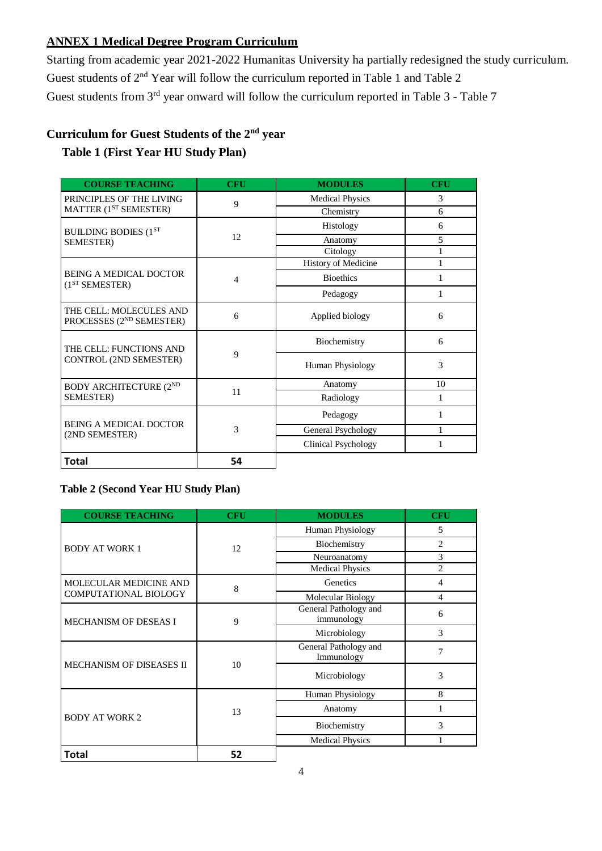### **ANNEX 1 Medical Degree Program Curriculum**

Starting from academic year 2021-2022 Humanitas University ha partially redesigned the study curriculum. Guest students of 2<sup>nd</sup> Year will follow the curriculum reported in Table 1 and Table 2 Guest students from 3<sup>rd</sup> year onward will follow the curriculum reported in Table 3 - Table 7

# **Curriculum for Guest Students of the 2nd year**

## **Table 1 (First Year HU Study Plan)**

| <b>COURSE TEACHING</b>                                          | <b>CFU</b> | <b>MODULES</b>         | <b>CFU</b> |
|-----------------------------------------------------------------|------------|------------------------|------------|
| PRINCIPLES OF THE LIVING                                        | 9          | <b>Medical Physics</b> | 3          |
| MATTER (1 <sup>ST</sup> SEMESTER)                               |            | Chemistry              | 6          |
| <b>BUILDING BODIES (1ST</b>                                     | 12         | Histology              | 6          |
| SEMESTER)                                                       |            | Anatomy                | 5          |
|                                                                 |            | Citology               |            |
|                                                                 |            | History of Medicine    | 1          |
| <b>BEING A MEDICAL DOCTOR</b><br>(1 <sup>ST</sup> SEMESTER)     | 4          | <b>Bioethics</b>       | 1          |
|                                                                 |            | Pedagogy               | 1          |
| THE CELL: MOLECULES AND<br>PROCESSES (2 <sup>ND</sup> SEMESTER) | 6          | Applied biology        | 6          |
| THE CELL: FUNCTIONS AND<br>CONTROL (2ND SEMESTER)               | 9          | Biochemistry           | 6          |
|                                                                 |            | Human Physiology       | 3          |
| <b>BODY ARCHITECTURE (2ND</b><br>SEMESTER)                      | 11         | Anatomy                | 10         |
|                                                                 |            | Radiology              | 1          |
| <b>BEING A MEDICAL DOCTOR</b><br>(2ND SEMESTER)                 | 3          | Pedagogy               |            |
|                                                                 |            | General Psychology     |            |
|                                                                 |            | Clinical Psychology    |            |
| <b>Total</b>                                                    | 54         |                        |            |

#### **Table 2 (Second Year HU Study Plan)**

| <b>COURSE TEACHING</b>          | <b>CFU</b> | <b>MODULES</b>                      | <b>CFU</b>     |
|---------------------------------|------------|-------------------------------------|----------------|
| <b>BODY AT WORK 1</b>           | 12         | Human Physiology                    | 5              |
|                                 |            | Biochemistry                        | $\overline{2}$ |
|                                 |            | Neuroanatomy                        | 3              |
|                                 |            | <b>Medical Physics</b>              | $\overline{c}$ |
| MOLECULAR MEDICINE AND          | 8          | Genetics                            | 4              |
| COMPUTATIONAL BIOLOGY           |            | Molecular Biology                   | 4              |
| <b>MECHANISM OF DESEAS I</b>    | 9          | General Pathology and<br>immunology | 6              |
|                                 |            | Microbiology                        | 3              |
|                                 |            | General Pathology and<br>Immunology | 7              |
| <b>MECHANISM OF DISEASES II</b> | 10         | Microbiology                        | 3              |
| <b>BODY AT WORK 2</b>           | 13         | Human Physiology                    | 8              |
|                                 |            | Anatomy                             |                |
|                                 |            | Biochemistry                        | 3              |
|                                 |            | <b>Medical Physics</b>              |                |
| <b>Total</b>                    | 52         |                                     |                |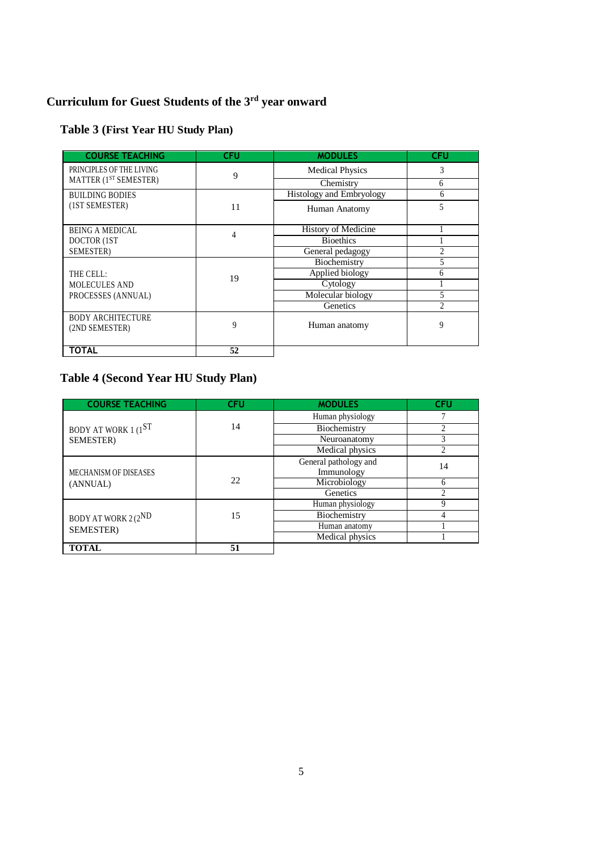# **Curriculum for Guest Students of the 3rd year onward**

### **Table 3 (First Year HU Study Plan)**

| <b>COURSE TEACHING</b>            | <b>CFU</b> | <b>MODULES</b>                  | <b>CFU</b>     |
|-----------------------------------|------------|---------------------------------|----------------|
| PRINCIPLES OF THE LIVING          | 9          | <b>Medical Physics</b>          | 3              |
| MATTER (1 <sup>ST</sup> SEMESTER) |            | Chemistry                       | 6              |
| <b>BUILDING BODIES</b>            |            | <b>Histology and Embryology</b> | 6              |
| (1ST SEMESTER)                    | 11         | Human Anatomy                   | 5              |
| <b>BEING A MEDICAL</b>            | 4          | History of Medicine             |                |
| DOCTOR (1ST                       |            | <b>Bioethics</b>                |                |
| SEMESTER)                         |            | General pedagogy                |                |
|                                   |            | Biochemistry                    |                |
| THE CELL:                         | 19         | Applied biology                 | 6              |
| <b>MOLECULES AND</b>              |            | Cytology                        |                |
| PROCESSES (ANNUAL)                |            | Molecular biology               | 5              |
|                                   |            | Genetics                        | $\mathfrak{D}$ |
| <b>BODY ARCHITECTURE</b>          |            |                                 |                |
| (2ND SEMESTER)                    | 9          | Human anatomy                   | 9              |
|                                   |            |                                 |                |
| <b>TOTAL</b>                      | 52         |                                 |                |

# **Table 4 (Second Year HU Study Plan)**

| <b>COURSE TEACHING</b> | CFU | <b>MODULES</b>        | <b>CFU</b> |
|------------------------|-----|-----------------------|------------|
|                        |     | Human physiology      |            |
| BODY AT WORK $1(1ST)$  | 14  | Biochemistry          | 2          |
| <b>SEMESTER</b> )      |     | Neuroanatomy          |            |
|                        |     | Medical physics       | ↑          |
|                        |     | General pathology and | 14         |
| MECHANISM OF DISEASES  |     | Immunology            |            |
| (ANNUAL)               | 22  | Microbiology          | 6          |
|                        |     | Genetics              | ↑          |
|                        |     | Human physiology      |            |
| BODY AT WORK $2(2ND$   | 15  | Biochemistry          |            |
| <b>SEMESTER</b> )      |     | Human anatomy         |            |
|                        |     | Medical physics       |            |
| TOTAL                  | 51  |                       |            |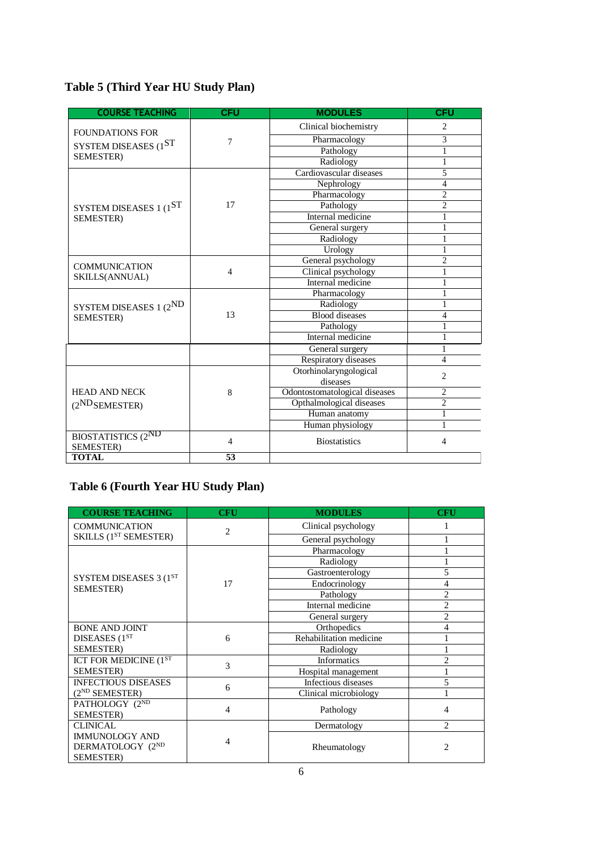# **Table 5 (Third Year HU Study Plan)**

| <b>COURSE TEACHING</b>     | <b>CFU</b>     | <b>MODULES</b>                | <b>CFU</b>     |
|----------------------------|----------------|-------------------------------|----------------|
|                            |                | Clinical biochemistry         | $\overline{c}$ |
| <b>FOUNDATIONS FOR</b>     | 7              | Pharmacology                  | 3              |
| SYSTEM DISEASES (1ST       |                | Pathology                     | 1              |
| SEMESTER)                  |                | Radiology                     | 1              |
|                            |                | Cardiovascular diseases       | 5              |
|                            |                | Nephrology                    | $\overline{4}$ |
|                            |                | Pharmacology                  | $\overline{2}$ |
| SYSTEM DISEASES $1(1ST)$   | 17             | Pathology                     | $\overline{2}$ |
| <b>SEMESTER</b> )          |                | Internal medicine             | 1              |
|                            |                | General surgery               |                |
|                            |                | Radiology                     |                |
|                            |                | Urology                       |                |
| <b>COMMUNICATION</b>       |                | General psychology            | $\overline{2}$ |
|                            | $\overline{4}$ | Clinical psychology           |                |
| SKILLS(ANNUAL)             |                | Internal medicine             |                |
|                            |                | Pharmacology                  |                |
| SYSTEM DISEASES 1 (2ND     |                | Radiology                     |                |
| SEMESTER)                  | 13             | <b>Blood</b> diseases         | $\overline{4}$ |
|                            |                | Pathology                     |                |
|                            |                | Internal medicine             |                |
|                            |                | General surgery               | 1              |
|                            |                | Respiratory diseases          | 4              |
|                            |                | Otorhinolaryngological        | $\overline{c}$ |
|                            |                | diseases                      |                |
| <b>HEAD AND NECK</b>       | 8              | Odontostomatological diseases | 2              |
| (2 <sup>ND</sup> SEMESTER) |                | Opthalmological diseases      | $\overline{c}$ |
|                            |                | Human anatomy                 | 1              |
|                            |                | Human physiology              |                |
| <b>BIOSTATISTICS (2ND</b>  | $\overline{4}$ | <b>Biostatistics</b>          | 4              |
| <b>SEMESTER</b> )          |                |                               |                |
| <b>TOTAL</b>               | 53             |                               |                |

# **Table 6 (Fourth Year HU Study Plan)**

| <b>COURSE TEACHING</b>                                         | <b>CFU</b>     | <b>MODULES</b>          | <b>CFU</b>     |
|----------------------------------------------------------------|----------------|-------------------------|----------------|
| <b>COMMUNICATION</b><br>SKILLS (1 <sup>ST</sup> SEMESTER)      | $\overline{2}$ | Clinical psychology     |                |
|                                                                |                | General psychology      |                |
|                                                                |                | Pharmacology            |                |
|                                                                |                | Radiology               |                |
| SYSTEM DISEASES 3 (1ST                                         |                | Gastroenterology        | 5              |
| <b>SEMESTER</b> )                                              | 17             | Endocrinology           | 4              |
|                                                                |                | Pathology               | $\overline{c}$ |
|                                                                |                | Internal medicine       | $\overline{c}$ |
|                                                                |                | General surgery         | $\overline{c}$ |
| <b>BONE AND JOINT</b>                                          |                | Orthopedics             | 4              |
| DISEASES (1 <sup>ST</sup>                                      | 6              | Rehabilitation medicine |                |
| <b>SEMESTER</b> )                                              |                | Radiology               |                |
| ICT FOR MEDICINE $(\overline{1^{ST}})$                         | $\mathcal{R}$  | <b>Informatics</b>      | $\overline{2}$ |
| <b>SEMESTER</b> )                                              |                | Hospital management     |                |
| <b>INFECTIOUS DISEASES</b>                                     | 6              | Infectious diseases     | 5              |
| $(2^{ND}$ SEMESTER)                                            |                | Clinical microbiology   |                |
| PATHOLOGY (2ND                                                 | 4              | Pathology               | 4              |
| <b>SEMESTER</b> )                                              |                |                         |                |
| <b>CLINICAL</b>                                                |                | Dermatology             | $\mathfrak{D}$ |
| <b>IMMUNOLOGY AND</b><br>DERMATOLOGY (2ND<br><b>SEMESTER</b> ) | 4              | Rheumatology            | 2              |